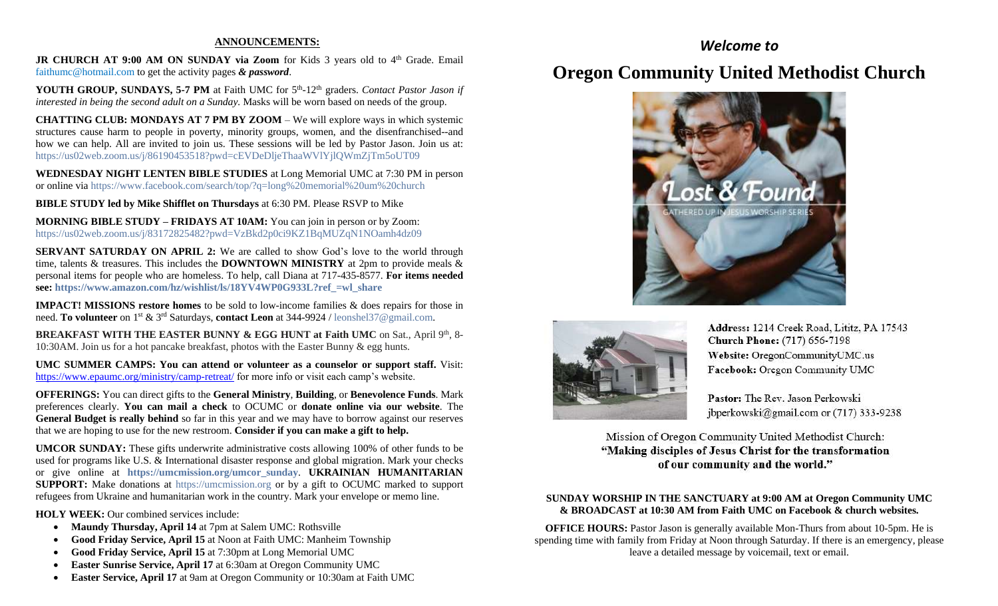#### **ANNOUNCEMENTS:**

**JR CHURCH AT 9:00 AM ON SUNDAY via Zoom** for Kids 3 years old to 4<sup>th</sup> Grade. Email [faithumc@hotmail.com](about:blank) to get the activity pages *& password*.

YOUTH GROUP, SUNDAYS, 5-7 PM at Faith UMC for 5<sup>th</sup>-12<sup>th</sup> graders. *Contact Pastor Jason if interested in being the second adult on a Sunday.* Masks will be worn based on needs of the group.

**CHATTING CLUB: MONDAYS AT 7 PM BY ZOOM** – We will explore ways in which systemic structures cause harm to people in poverty, minority groups, women, and the disenfranchised--and how we can help. All are invited to join us. These sessions will be led by Pastor Jason. Join us at: <https://us02web.zoom.us/j/86190453518?pwd=cEVDeDljeThaaWVlYjlQWmZjTm5oUT09>

**WEDNESDAY NIGHT LENTEN BIBLE STUDIES** at Long Memorial UMC at 7:30 PM in person or online via <https://www.facebook.com/search/top/?q=long%20memorial%20um%20church>

**BIBLE STUDY led by Mike Shifflet on Thursdays** at 6:30 PM. Please RSVP to Mike

**MORNING BIBLE STUDY – FRIDAYS AT 10AM:** You can join in person or by Zoom: [https://us02web.zoom.us/j/83172825482?pwd=VzBkd2p0ci9KZ1BqMUZqN1NOamh4dz09](about:blank)

**SERVANT SATURDAY ON APRIL 2:** We are called to show God's love to the world through time, talents & treasures. This includes the **DOWNTOWN MINISTRY** at 2pm to provide meals & personal items for people who are homeless. To help, call Diana at 717-435-8577. **For items needed see: [https://www.amazon.com/hz/wishlist/ls/18YV4WP0G933L?ref\\_=wl\\_share](https://www.amazon.com/hz/wishlist/ls/18YV4WP0G933L?ref_=wl_share)**

**IMPACT! MISSIONS restore homes** to be sold to low-income families & does repairs for those in need. **To volunteer** on 1st & 3rd Saturdays, **contact Leon** at 344-9924 / [leonshel37@gmail.com.](about:blank)

**BREAKFAST WITH THE EASTER BUNNY & EGG HUNT at Faith UMC** on Sat., April 9th, 8-10:30AM. Join us for a hot pancake breakfast, photos with the Easter Bunny & egg hunts.

**UMC SUMMER CAMPS: You can attend or volunteer as a counselor or support staff.** Visit: <https://www.epaumc.org/ministry/camp-retreat/> for more info or visit each camp's website.

**OFFERINGS:** You can direct gifts to the **General Ministry**, **Building**, or **Benevolence Funds**. Mark preferences clearly. **You can mail a check** to OCUMC or **donate online via our website**. The **General Budget is really behind** so far in this year and we may have to borrow against our reserves that we are hoping to use for the new restroom. **Consider if you can make a gift to help.**

**UMCOR SUNDAY:** These gifts underwrite administrative costs allowing 100% of other funds to be used for programs like U.S. & International disaster response and global migration. Mark your checks or give online at **[https://umcmission.org/umcor\\_sunday](https://umcmission.org/umcor_sunday)**. **UKRAINIAN HUMANITARIAN SUPPORT:** Make donations at [https://umcmission.org](https://umcmission.org/) or by a gift to OCUMC marked to support refugees from Ukraine and humanitarian work in the country. Mark your envelope or memo line.

**HOLY WEEK:** Our combined services include:

- **Maundy Thursday, April 14** at 7pm at Salem UMC: Rothsville
- **Good Friday Service, April 15** at Noon at Faith UMC: Manheim Township
- **Good Friday Service, April 15** at 7:30pm at Long Memorial UMC
- **Easter Sunrise Service, April 17** at 6:30am at Oregon Community UMC
- **Easter Service, April 17** at 9am at Oregon Community or 10:30am at Faith UMC

## *Welcome to*

# **Oregon Community United Methodist Church**





Address: 1214 Creek Road, Lititz, PA 17543 **Church Phone:** (717) 656-7198 Website: OregonCommunityUMC.us Facebook: Oregon Community UMC

Pastor: The Rev. Jason Perkowski jbperkowski@gmail.com or (717) 333-9238

Mission of Oregon Community United Methodist Church: "Making disciples of Jesus Christ for the transformation of our community and the world."

#### **SUNDAY WORSHIP IN THE SANCTUARY at 9:00 AM at Oregon Community UMC & BROADCAST at 10:30 AM from Faith UMC on Facebook & church websites.**

**OFFICE HOURS:** Pastor Jason is generally available Mon-Thurs from about 10-5pm. He is spending time with family from Friday at Noon through Saturday. If there is an emergency, please leave a detailed message by voicemail, text or email.